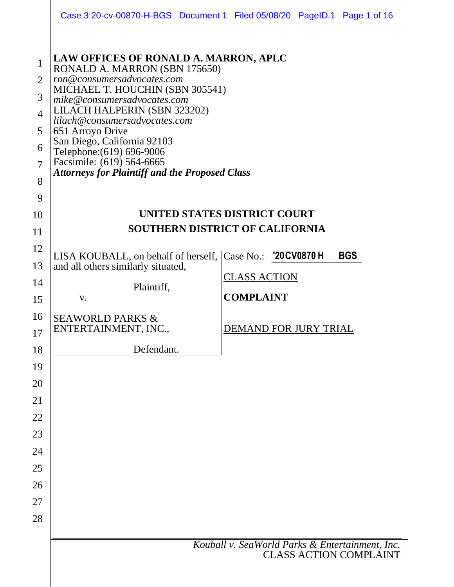|                                                                                        |                                                                                                                                                                                                                                                                                                                                                                                                               | Case 3:20-cv-00870-H-BGS Document 1 Filed 05/08/20 PageID.1 Page 1 of 16         |  |  |  |  |  |  |
|----------------------------------------------------------------------------------------|---------------------------------------------------------------------------------------------------------------------------------------------------------------------------------------------------------------------------------------------------------------------------------------------------------------------------------------------------------------------------------------------------------------|----------------------------------------------------------------------------------|--|--|--|--|--|--|
| $\mathbf{1}$<br>$\overline{2}$<br>3<br>$\overline{4}$<br>5<br>6<br>$\overline{7}$<br>8 | LAW OFFICES OF RONALD A. MARRON, APLC<br>RONALD A. MARRON (SBN 175650)<br>ron@consumersadvocates.com<br>MICHAEL T. HOUCHIN (SBN 305541)<br>mike@consumersadvocates.com<br>LILACH HALPERIN (SBN 323202)<br>lilach@consumersadvocates.com<br>651 Arroyo Drive<br>San Diego, California 92103<br>Telephone: (619) 696-9006<br>Facsimile: (619) 564-6665<br><b>Attorneys for Plaintiff and the Proposed Class</b> |                                                                                  |  |  |  |  |  |  |
| 9                                                                                      |                                                                                                                                                                                                                                                                                                                                                                                                               |                                                                                  |  |  |  |  |  |  |
| 10                                                                                     | UNITED STATES DISTRICT COURT<br><b>SOUTHERN DISTRICT OF CALIFORNIA</b>                                                                                                                                                                                                                                                                                                                                        |                                                                                  |  |  |  |  |  |  |
| 11                                                                                     |                                                                                                                                                                                                                                                                                                                                                                                                               |                                                                                  |  |  |  |  |  |  |
| 12<br>13                                                                               | LISA KOUBALL, on behalf of herself, Case No.: '20CV0870 H                                                                                                                                                                                                                                                                                                                                                     | <b>BGS</b>                                                                       |  |  |  |  |  |  |
| 14                                                                                     | and all others similarly situated,                                                                                                                                                                                                                                                                                                                                                                            | <u>CLASS ACTION</u>                                                              |  |  |  |  |  |  |
| 15                                                                                     | Plaintiff,<br>V.                                                                                                                                                                                                                                                                                                                                                                                              | <b>COMPLAINT</b>                                                                 |  |  |  |  |  |  |
| 16                                                                                     | <b>SEAWORLD PARKS &amp;</b>                                                                                                                                                                                                                                                                                                                                                                                   |                                                                                  |  |  |  |  |  |  |
| 17                                                                                     | ENTERTAINMENT, INC.,                                                                                                                                                                                                                                                                                                                                                                                          | DEMAND FOR JURY TRIAL                                                            |  |  |  |  |  |  |
| 18                                                                                     | Defendant.                                                                                                                                                                                                                                                                                                                                                                                                    |                                                                                  |  |  |  |  |  |  |
| 19                                                                                     |                                                                                                                                                                                                                                                                                                                                                                                                               |                                                                                  |  |  |  |  |  |  |
| 20                                                                                     |                                                                                                                                                                                                                                                                                                                                                                                                               |                                                                                  |  |  |  |  |  |  |
| 21                                                                                     |                                                                                                                                                                                                                                                                                                                                                                                                               |                                                                                  |  |  |  |  |  |  |
| 22                                                                                     |                                                                                                                                                                                                                                                                                                                                                                                                               |                                                                                  |  |  |  |  |  |  |
| 23                                                                                     |                                                                                                                                                                                                                                                                                                                                                                                                               |                                                                                  |  |  |  |  |  |  |
| 24<br>25                                                                               |                                                                                                                                                                                                                                                                                                                                                                                                               |                                                                                  |  |  |  |  |  |  |
| 26                                                                                     |                                                                                                                                                                                                                                                                                                                                                                                                               |                                                                                  |  |  |  |  |  |  |
| 27                                                                                     |                                                                                                                                                                                                                                                                                                                                                                                                               |                                                                                  |  |  |  |  |  |  |
| 28                                                                                     |                                                                                                                                                                                                                                                                                                                                                                                                               |                                                                                  |  |  |  |  |  |  |
|                                                                                        |                                                                                                                                                                                                                                                                                                                                                                                                               |                                                                                  |  |  |  |  |  |  |
|                                                                                        |                                                                                                                                                                                                                                                                                                                                                                                                               | Kouball v. SeaWorld Parks & Entertainment, Inc.<br><b>CLASS ACTION COMPLAINT</b> |  |  |  |  |  |  |
|                                                                                        |                                                                                                                                                                                                                                                                                                                                                                                                               |                                                                                  |  |  |  |  |  |  |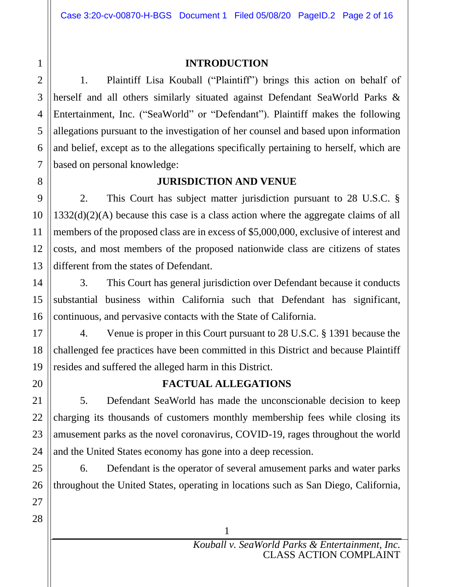#### **INTRODUCTION**

1. Plaintiff Lisa Kouball ("Plaintiff") brings this action on behalf of herself and all others similarly situated against Defendant SeaWorld Parks & Entertainment, Inc. ("SeaWorld" or "Defendant"). Plaintiff makes the following allegations pursuant to the investigation of her counsel and based upon information and belief, except as to the allegations specifically pertaining to herself, which are based on personal knowledge:

## **JURISDICTION AND VENUE**

2. This Court has subject matter jurisdiction pursuant to 28 U.S.C. § 1332(d)(2)(A) because this case is a class action where the aggregate claims of all members of the proposed class are in excess of \$5,000,000, exclusive of interest and costs, and most members of the proposed nationwide class are citizens of states different from the states of Defendant.

3. This Court has general jurisdiction over Defendant because it conducts substantial business within California such that Defendant has significant, continuous, and pervasive contacts with the State of California.

4. Venue is proper in this Court pursuant to 28 U.S.C. § 1391 because the challenged fee practices have been committed in this District and because Plaintiff resides and suffered the alleged harm in this District.

## **FACTUAL ALLEGATIONS**

5. Defendant SeaWorld has made the unconscionable decision to keep charging its thousands of customers monthly membership fees while closing its amusement parks as the novel coronavirus, COVID-19, rages throughout the world and the United States economy has gone into a deep recession.

6. Defendant is the operator of several amusement parks and water parks throughout the United States, operating in locations such as San Diego, California,

1

2

3

4

5

6

7

8

9

10

11

12

13

14

15

16

17

18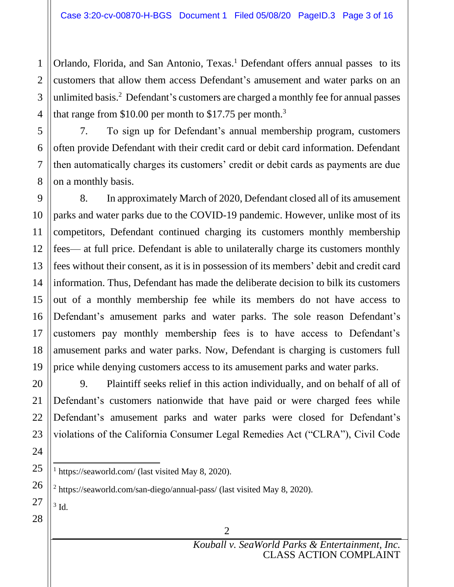Orlando, Florida, and San Antonio, Texas.<sup>1</sup> Defendant offers annual passes to its customers that allow them access Defendant's amusement and water parks on an unlimited basis.<sup>2</sup> Defendant's customers are charged a monthly fee for annual passes that range from \$10.00 per month to \$17.75 per month.<sup>3</sup>

7. To sign up for Defendant's annual membership program, customers often provide Defendant with their credit card or debit card information. Defendant then automatically charges its customers' credit or debit cards as payments are due on a monthly basis.

8. In approximately March of 2020, Defendant closed all of its amusement parks and water parks due to the COVID-19 pandemic. However, unlike most of its competitors, Defendant continued charging its customers monthly membership fees— at full price. Defendant is able to unilaterally charge its customers monthly fees without their consent, as it is in possession of its members' debit and credit card information. Thus, Defendant has made the deliberate decision to bilk its customers out of a monthly membership fee while its members do not have access to Defendant's amusement parks and water parks. The sole reason Defendant's customers pay monthly membership fees is to have access to Defendant's amusement parks and water parks. Now, Defendant is charging is customers full price while denying customers access to its amusement parks and water parks.

9. Plaintiff seeks relief in this action individually, and on behalf of all of Defendant's customers nationwide that have paid or were charged fees while Defendant's amusement parks and water parks were closed for Defendant's violations of the California Consumer Legal Remedies Act ("CLRA"), Civil Code

 $3$  Id.

<sup>&</sup>lt;sup>1</sup> https://seaworld.com/ (last visited May 8, 2020).

<sup>&</sup>lt;sup>2</sup> https://seaworld.com/san-diego/annual-pass/ (last visited May 8, 2020).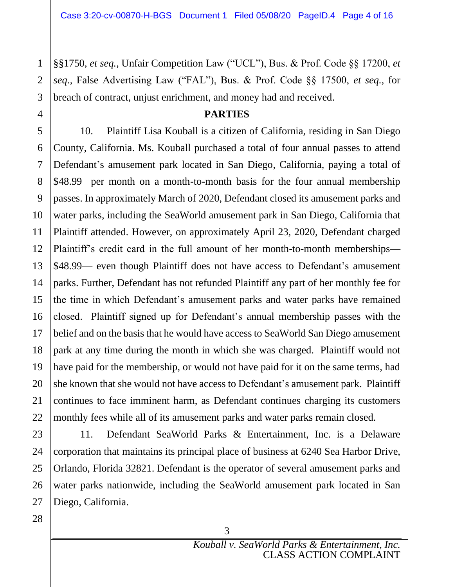§§1750, *et seq.,* Unfair Competition Law ("UCL"), Bus. & Prof. Code §§ 17200, *et seq.,* False Advertising Law ("FAL"), Bus. & Prof. Code §§ 17500, *et seq.*, for breach of contract, unjust enrichment, and money had and received.

#### **PARTIES**

10. Plaintiff Lisa Kouball is a citizen of California, residing in San Diego County, California. Ms. Kouball purchased a total of four annual passes to attend Defendant's amusement park located in San Diego, California, paying a total of \$48.99 per month on a month-to-month basis for the four annual membership passes. In approximately March of 2020, Defendant closed its amusement parks and water parks, including the SeaWorld amusement park in San Diego, California that Plaintiff attended. However, on approximately April 23, 2020, Defendant charged Plaintiff's credit card in the full amount of her month-to-month memberships— \$48.99— even though Plaintiff does not have access to Defendant's amusement parks. Further, Defendant has not refunded Plaintiff any part of her monthly fee for the time in which Defendant's amusement parks and water parks have remained closed. Plaintiff signed up for Defendant's annual membership passes with the belief and on the basis that he would have access to SeaWorld San Diego amusement park at any time during the month in which she was charged. Plaintiff would not have paid for the membership, or would not have paid for it on the same terms, had she known that she would not have access to Defendant's amusement park. Plaintiff continues to face imminent harm, as Defendant continues charging its customers monthly fees while all of its amusement parks and water parks remain closed.

1

11. Defendant SeaWorld Parks & Entertainment, Inc. is a Delaware corporation that maintains its principal place of business at 6240 Sea Harbor Drive, Orlando, Florida 32821. Defendant is the operator of several amusement parks and water parks nationwide, including the SeaWorld amusement park located in San Diego, California.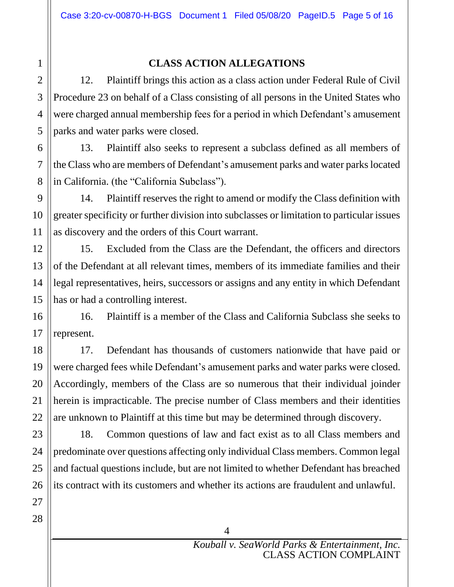# 2 3 4 5 6 7 8 9 10 11 12 13 14 15 16 17 18 19 20 21 22 23 24 25 26 27

28

1

## **CLASS ACTION ALLEGATIONS**

12. Plaintiff brings this action as a class action under Federal Rule of Civil Procedure 23 on behalf of a Class consisting of all persons in the United States who were charged annual membership fees for a period in which Defendant's amusement parks and water parks were closed.

13. Plaintiff also seeks to represent a subclass defined as all members of the Class who are members of Defendant's amusement parks and water parks located in California. (the "California Subclass").

14. Plaintiff reserves the right to amend or modify the Class definition with greater specificity or further division into subclasses or limitation to particular issues as discovery and the orders of this Court warrant.

15. Excluded from the Class are the Defendant, the officers and directors of the Defendant at all relevant times, members of its immediate families and their legal representatives, heirs, successors or assigns and any entity in which Defendant has or had a controlling interest.

16. Plaintiff is a member of the Class and California Subclass she seeks to represent.

17. Defendant has thousands of customers nationwide that have paid or were charged fees while Defendant's amusement parks and water parks were closed. Accordingly, members of the Class are so numerous that their individual joinder herein is impracticable. The precise number of Class members and their identities are unknown to Plaintiff at this time but may be determined through discovery.

18. Common questions of law and fact exist as to all Class members and predominate over questions affecting only individual Class members. Common legal and factual questions include, but are not limited to whether Defendant has breached its contract with its customers and whether its actions are fraudulent and unlawful.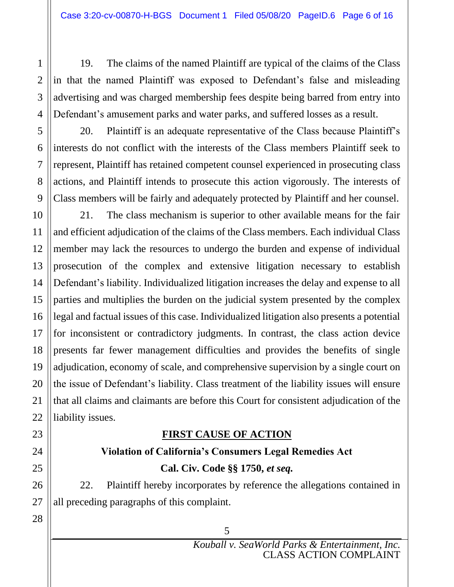19. The claims of the named Plaintiff are typical of the claims of the Class in that the named Plaintiff was exposed to Defendant's false and misleading advertising and was charged membership fees despite being barred from entry into Defendant's amusement parks and water parks, and suffered losses as a result.

20. Plaintiff is an adequate representative of the Class because Plaintiff's interests do not conflict with the interests of the Class members Plaintiff seek to represent, Plaintiff has retained competent counsel experienced in prosecuting class actions, and Plaintiff intends to prosecute this action vigorously. The interests of Class members will be fairly and adequately protected by Plaintiff and her counsel.

21. The class mechanism is superior to other available means for the fair and efficient adjudication of the claims of the Class members. Each individual Class member may lack the resources to undergo the burden and expense of individual prosecution of the complex and extensive litigation necessary to establish Defendant's liability. Individualized litigation increases the delay and expense to all parties and multiplies the burden on the judicial system presented by the complex legal and factual issues of this case. Individualized litigation also presents a potential for inconsistent or contradictory judgments. In contrast, the class action device presents far fewer management difficulties and provides the benefits of single adjudication, economy of scale, and comprehensive supervision by a single court on the issue of Defendant's liability. Class treatment of the liability issues will ensure that all claims and claimants are before this Court for consistent adjudication of the liability issues.

### **FIRST CAUSE OF ACTION**

## **Violation of California's Consumers Legal Remedies Act Cal. Civ. Code §§ 1750,** *et seq.*

22. Plaintiff hereby incorporates by reference the allegations contained in all preceding paragraphs of this complaint.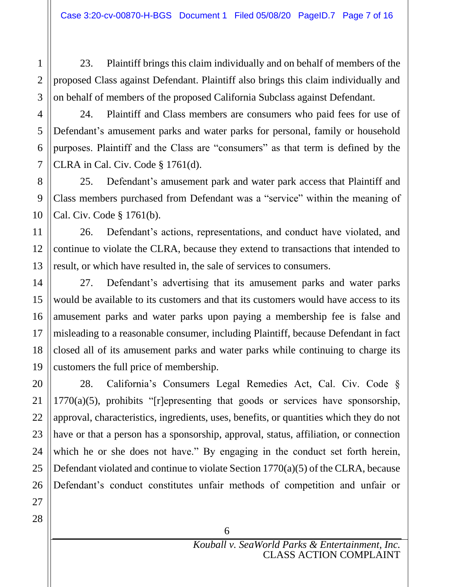23. Plaintiff brings this claim individually and on behalf of members of the proposed Class against Defendant. Plaintiff also brings this claim individually and on behalf of members of the proposed California Subclass against Defendant.

24. Plaintiff and Class members are consumers who paid fees for use of Defendant's amusement parks and water parks for personal, family or household purposes. Plaintiff and the Class are "consumers" as that term is defined by the CLRA in Cal. Civ. Code § 1761(d).

25. Defendant's amusement park and water park access that Plaintiff and Class members purchased from Defendant was a "service" within the meaning of Cal. Civ. Code § 1761(b).

26. Defendant's actions, representations, and conduct have violated, and continue to violate the CLRA, because they extend to transactions that intended to result, or which have resulted in, the sale of services to consumers.

27. Defendant's advertising that its amusement parks and water parks would be available to its customers and that its customers would have access to its amusement parks and water parks upon paying a membership fee is false and misleading to a reasonable consumer, including Plaintiff, because Defendant in fact closed all of its amusement parks and water parks while continuing to charge its customers the full price of membership.

28. California's Consumers Legal Remedies Act, Cal. Civ. Code § 1770(a)(5), prohibits "[r]epresenting that goods or services have sponsorship, approval, characteristics, ingredients, uses, benefits, or quantities which they do not have or that a person has a sponsorship, approval, status, affiliation, or connection which he or she does not have." By engaging in the conduct set forth herein, Defendant violated and continue to violate Section 1770(a)(5) of the CLRA, because Defendant's conduct constitutes unfair methods of competition and unfair or

26 27 28

1

2

3

4

5

6

7

8

9

10

11

12

13

14

15

16

17

18

19

20

21

22

23

24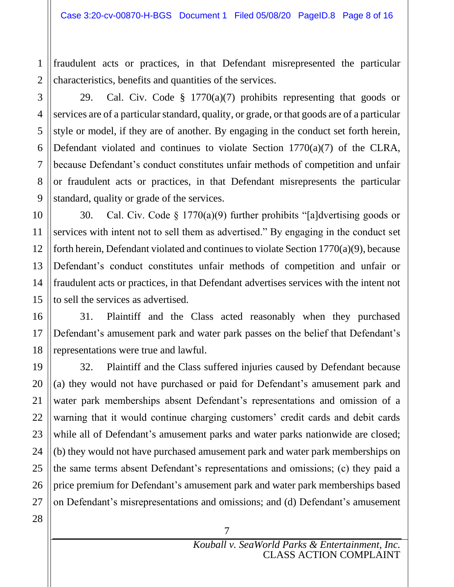fraudulent acts or practices, in that Defendant misrepresented the particular characteristics, benefits and quantities of the services.

1

2

3

4

29. Cal. Civ. Code § 1770(a)(7) prohibits representing that goods or services are of a particular standard, quality, or grade, or that goods are of a particular style or model, if they are of another. By engaging in the conduct set forth herein, Defendant violated and continues to violate Section 1770(a)(7) of the CLRA, because Defendant's conduct constitutes unfair methods of competition and unfair or fraudulent acts or practices, in that Defendant misrepresents the particular standard, quality or grade of the services.

30. Cal. Civ. Code § 1770(a)(9) further prohibits "[a]dvertising goods or services with intent not to sell them as advertised." By engaging in the conduct set forth herein, Defendant violated and continues to violate Section 1770(a)(9), because Defendant's conduct constitutes unfair methods of competition and unfair or fraudulent acts or practices, in that Defendant advertises services with the intent not to sell the services as advertised.

31. Plaintiff and the Class acted reasonably when they purchased Defendant's amusement park and water park passes on the belief that Defendant's representations were true and lawful.

32. Plaintiff and the Class suffered injuries caused by Defendant because (a) they would not have purchased or paid for Defendant's amusement park and water park memberships absent Defendant's representations and omission of a warning that it would continue charging customers' credit cards and debit cards while all of Defendant's amusement parks and water parks nationwide are closed; (b) they would not have purchased amusement park and water park memberships on the same terms absent Defendant's representations and omissions; (c) they paid a price premium for Defendant's amusement park and water park memberships based on Defendant's misrepresentations and omissions; and (d) Defendant's amusement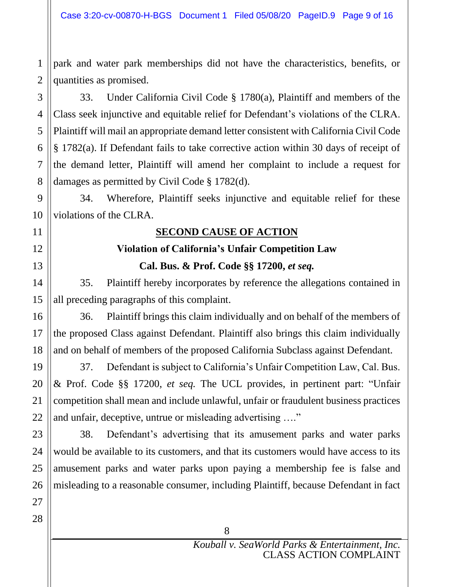1 2 park and water park memberships did not have the characteristics, benefits, or quantities as promised.

33. Under California Civil Code § 1780(a), Plaintiff and members of the Class seek injunctive and equitable relief for Defendant's violations of the CLRA. Plaintiff will mail an appropriate demand letter consistent with California Civil Code § 1782(a). If Defendant fails to take corrective action within 30 days of receipt of the demand letter, Plaintiff will amend her complaint to include a request for damages as permitted by Civil Code § 1782(d).

34. Wherefore, Plaintiff seeks injunctive and equitable relief for these violations of the CLRA.

## **SECOND CAUSE OF ACTION**

## **Violation of California's Unfair Competition Law Cal. Bus. & Prof. Code §§ 17200,** *et seq.*

35. Plaintiff hereby incorporates by reference the allegations contained in all preceding paragraphs of this complaint.

36. Plaintiff brings this claim individually and on behalf of the members of the proposed Class against Defendant. Plaintiff also brings this claim individually and on behalf of members of the proposed California Subclass against Defendant.

37. Defendant is subject to California's Unfair Competition Law, Cal. Bus. & Prof. Code §§ 17200, *et seq.* The UCL provides, in pertinent part: "Unfair competition shall mean and include unlawful, unfair or fraudulent business practices and unfair, deceptive, untrue or misleading advertising …."

38. Defendant's advertising that its amusement parks and water parks would be available to its customers, and that its customers would have access to its amusement parks and water parks upon paying a membership fee is false and misleading to a reasonable consumer, including Plaintiff, because Defendant in fact

3

4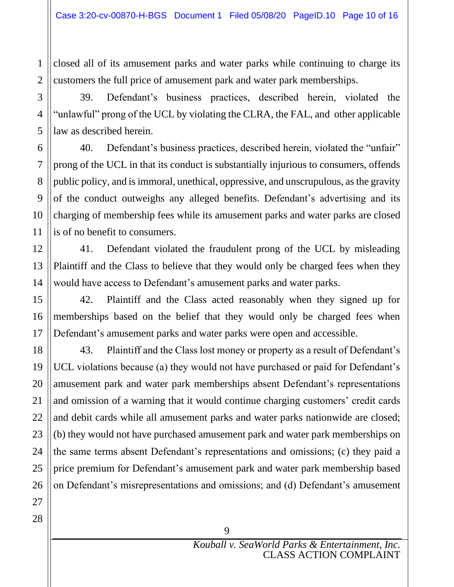closed all of its amusement parks and water parks while continuing to charge its customers the full price of amusement park and water park memberships.

39. Defendant's business practices, described herein, violated the "unlawful" prong of the UCL by violating the CLRA, the FAL, and other applicable law as described herein.

40. Defendant's business practices, described herein, violated the "unfair" prong of the UCL in that its conduct is substantially injurious to consumers, offends public policy, and isimmoral, unethical, oppressive, and unscrupulous, as the gravity of the conduct outweighs any alleged benefits. Defendant's advertising and its charging of membership fees while its amusement parks and water parks are closed is of no benefit to consumers.

41. Defendant violated the fraudulent prong of the UCL by misleading Plaintiff and the Class to believe that they would only be charged fees when they would have access to Defendant's amusement parks and water parks.

42. Plaintiff and the Class acted reasonably when they signed up for memberships based on the belief that they would only be charged fees when Defendant's amusement parks and water parks were open and accessible.

43. Plaintiff and the Class lost money or property as a result of Defendant's UCL violations because (a) they would not have purchased or paid for Defendant's amusement park and water park memberships absent Defendant's representations and omission of a warning that it would continue charging customers' credit cards and debit cards while all amusement parks and water parks nationwide are closed; (b) they would not have purchased amusement park and water park memberships on the same terms absent Defendant's representations and omissions; (c) they paid a price premium for Defendant's amusement park and water park membership based on Defendant's misrepresentations and omissions; and (d) Defendant's amusement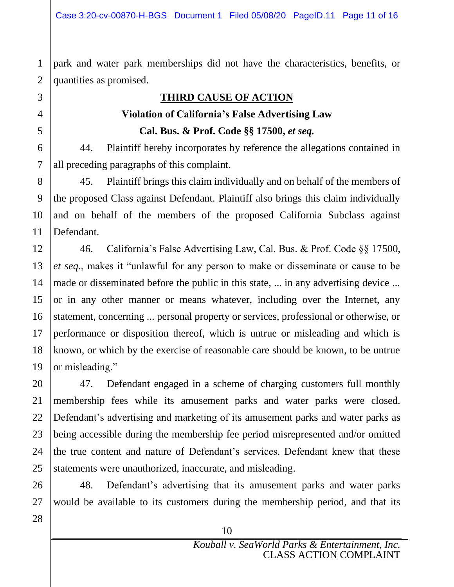2 park and water park memberships did not have the characteristics, benefits, or quantities as promised.

#### **THIRD CAUSE OF ACTION**

#### **Violation of California's False Advertising Law**

**Cal. Bus. & Prof. Code §§ 17500,** *et seq.*

44. Plaintiff hereby incorporates by reference the allegations contained in all preceding paragraphs of this complaint.

45. Plaintiff brings this claim individually and on behalf of the members of the proposed Class against Defendant. Plaintiff also brings this claim individually and on behalf of the members of the proposed California Subclass against Defendant.

46. California's False Advertising Law, Cal. Bus. & Prof. Code §§ 17500, *et seq.*, makes it "unlawful for any person to make or disseminate or cause to be made or disseminated before the public in this state, ... in any advertising device ... or in any other manner or means whatever, including over the Internet, any statement, concerning ... personal property or services, professional or otherwise, or performance or disposition thereof, which is untrue or misleading and which is known, or which by the exercise of reasonable care should be known, to be untrue or misleading."

47. Defendant engaged in a scheme of charging customers full monthly membership fees while its amusement parks and water parks were closed. Defendant's advertising and marketing of its amusement parks and water parks as being accessible during the membership fee period misrepresented and/or omitted the true content and nature of Defendant's services. Defendant knew that these statements were unauthorized, inaccurate, and misleading.

48. Defendant's advertising that its amusement parks and water parks would be available to its customers during the membership period, and that its

1

3

4

5

6

7

8

9

10

11

12

13

14

15

16

17

18

19

20

21

22

23

24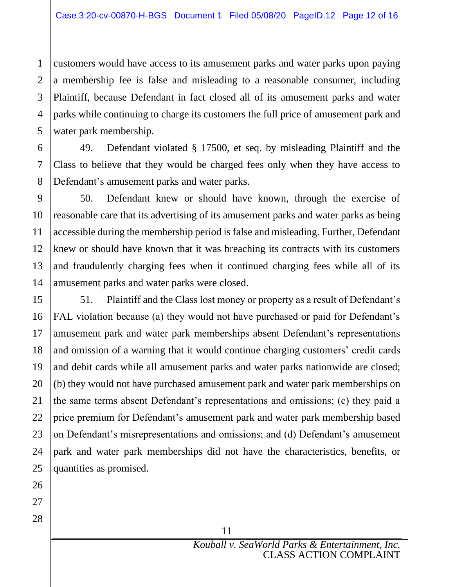customers would have access to its amusement parks and water parks upon paying a membership fee is false and misleading to a reasonable consumer, including Plaintiff, because Defendant in fact closed all of its amusement parks and water parks while continuing to charge its customers the full price of amusement park and water park membership.

49. Defendant violated § 17500, et seq. by misleading Plaintiff and the Class to believe that they would be charged fees only when they have access to Defendant's amusement parks and water parks.

50. Defendant knew or should have known, through the exercise of reasonable care that its advertising of its amusement parks and water parks as being accessible during the membership period is false and misleading. Further, Defendant knew or should have known that it was breaching its contracts with its customers and fraudulently charging fees when it continued charging fees while all of its amusement parks and water parks were closed.

51. Plaintiff and the Class lost money or property as a result of Defendant's FAL violation because (a) they would not have purchased or paid for Defendant's amusement park and water park memberships absent Defendant's representations and omission of a warning that it would continue charging customers' credit cards and debit cards while all amusement parks and water parks nationwide are closed; (b) they would not have purchased amusement park and water park memberships on the same terms absent Defendant's representations and omissions; (c) they paid a price premium for Defendant's amusement park and water park membership based on Defendant's misrepresentations and omissions; and (d) Defendant's amusement park and water park memberships did not have the characteristics, benefits, or quantities as promised.

1

2

3

4

5

6

7

8

9

10

11

12

13

14

15

16

17

18

19

20

21

22

23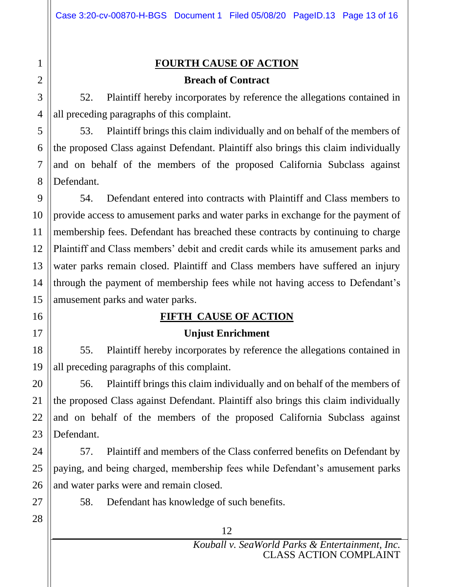## **FOURTH CAUSE OF ACTION**

#### **Breach of Contract**

52. Plaintiff hereby incorporates by reference the allegations contained in all preceding paragraphs of this complaint.

53. Plaintiff brings this claim individually and on behalf of the members of the proposed Class against Defendant. Plaintiff also brings this claim individually and on behalf of the members of the proposed California Subclass against Defendant.

54. Defendant entered into contracts with Plaintiff and Class members to provide access to amusement parks and water parks in exchange for the payment of membership fees. Defendant has breached these contracts by continuing to charge Plaintiff and Class members' debit and credit cards while its amusement parks and water parks remain closed. Plaintiff and Class members have suffered an injury through the payment of membership fees while not having access to Defendant's amusement parks and water parks.

### **FIFTH CAUSE OF ACTION**

### **Unjust Enrichment**

55. Plaintiff hereby incorporates by reference the allegations contained in all preceding paragraphs of this complaint.

56. Plaintiff brings this claim individually and on behalf of the members of the proposed Class against Defendant. Plaintiff also brings this claim individually and on behalf of the members of the proposed California Subclass against Defendant.

57. Plaintiff and members of the Class conferred benefits on Defendant by paying, and being charged, membership fees while Defendant's amusement parks and water parks were and remain closed.

58. Defendant has knowledge of such benefits.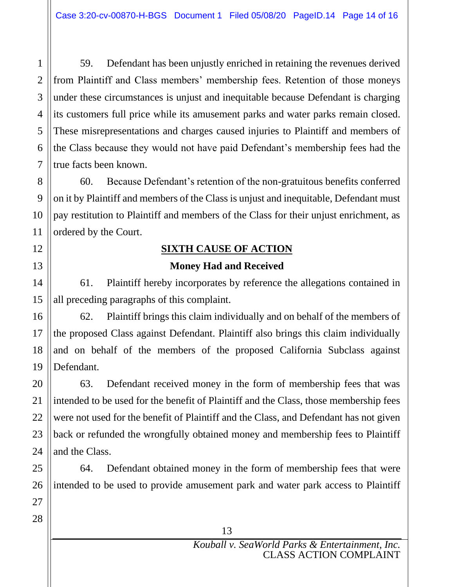59. Defendant has been unjustly enriched in retaining the revenues derived from Plaintiff and Class members' membership fees. Retention of those moneys under these circumstances is unjust and inequitable because Defendant is charging its customers full price while its amusement parks and water parks remain closed. These misrepresentations and charges caused injuries to Plaintiff and members of the Class because they would not have paid Defendant's membership fees had the true facts been known.

60. Because Defendant's retention of the non-gratuitous benefits conferred on it by Plaintiff and members of the Class is unjust and inequitable, Defendant must pay restitution to Plaintiff and members of the Class for their unjust enrichment, as ordered by the Court.

## **SIXTH CAUSE OF ACTION Money Had and Received**

61. Plaintiff hereby incorporates by reference the allegations contained in all preceding paragraphs of this complaint.

62. Plaintiff brings this claim individually and on behalf of the members of the proposed Class against Defendant. Plaintiff also brings this claim individually and on behalf of the members of the proposed California Subclass against Defendant.

63. Defendant received money in the form of membership fees that was intended to be used for the benefit of Plaintiff and the Class, those membership fees were not used for the benefit of Plaintiff and the Class, and Defendant has not given back or refunded the wrongfully obtained money and membership fees to Plaintiff and the Class.

64. Defendant obtained money in the form of membership fees that were intended to be used to provide amusement park and water park access to Plaintiff

1

2

3

4

5

6

7

8

9

10

11

12

13

14

15

16

17

18

19

20

21

22

23

24

25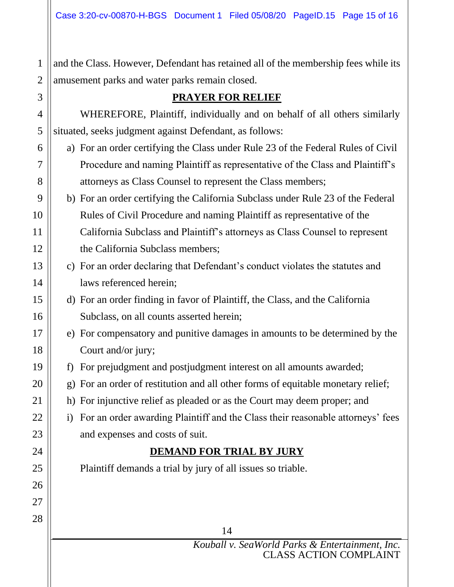and the Class. However, Defendant has retained all of the membership fees while its amusement parks and water parks remain closed.

## **PRAYER FOR RELIEF**

WHEREFORE, Plaintiff, individually and on behalf of all others similarly situated, seeks judgment against Defendant, as follows:

- a) For an order certifying the Class under Rule 23 of the Federal Rules of Civil Procedure and naming Plaintiff as representative of the Class and Plaintiff's attorneys as Class Counsel to represent the Class members;
- b) For an order certifying the California Subclass under Rule 23 of the Federal Rules of Civil Procedure and naming Plaintiff as representative of the California Subclass and Plaintiff's attorneys as Class Counsel to represent the California Subclass members;
- c) For an order declaring that Defendant's conduct violates the statutes and laws referenced herein;
- d) For an order finding in favor of Plaintiff, the Class, and the California Subclass, on all counts asserted herein;
- e) For compensatory and punitive damages in amounts to be determined by the Court and/or jury;
- f) For prejudgment and postjudgment interest on all amounts awarded;
- g) For an order of restitution and all other forms of equitable monetary relief;
- h) For injunctive relief as pleaded or as the Court may deem proper; and
- i) For an order awarding Plaintiff and the Class their reasonable attorneys' fees and expenses and costs of suit.

## **DEMAND FOR TRIAL BY JURY**

Plaintiff demands a trial by jury of all issues so triable.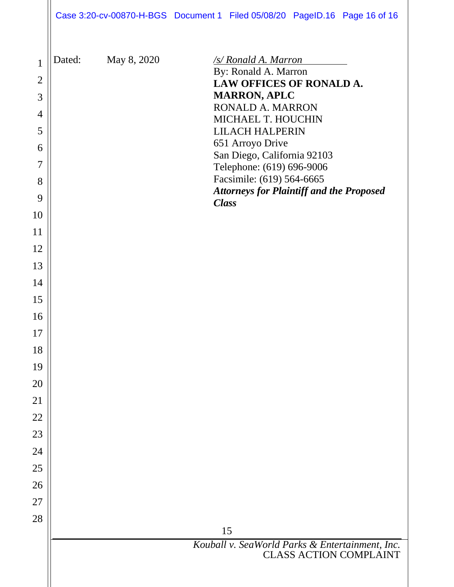| Case 3:20-cv-00870-H-BGS Document 1 Filed 05/08/20 PageID.16 Page 16 of 16 |  |  |
|----------------------------------------------------------------------------|--|--|
|                                                                            |  |  |

| $\mathbf{1}$   | Dated: | May 8, 2020 | <u>/s/ Ronald A. Marron_</u>                                    |
|----------------|--------|-------------|-----------------------------------------------------------------|
| $\overline{2}$ |        |             | By: Ronald A. Marron<br>LAW OFFICES OF RONALD A.                |
| 3              |        |             | <b>MARRON, APLC</b>                                             |
| 4              |        |             | <b>RONALD A. MARRON</b>                                         |
| 5              |        |             | MICHAEL T. HOUCHIN<br><b>LILACH HALPERIN</b>                    |
| 6              |        |             | 651 Arroyo Drive                                                |
| $\overline{7}$ |        |             | San Diego, California 92103<br>Telephone: (619) 696-9006        |
| 8              |        |             | Facsimile: (619) 564-6665                                       |
| 9              |        |             | <b>Attorneys for Plaintiff and the Proposed</b><br><b>Class</b> |
| 10             |        |             |                                                                 |
| 11             |        |             |                                                                 |
| 12             |        |             |                                                                 |
| 13             |        |             |                                                                 |
| 14             |        |             |                                                                 |
| 15             |        |             |                                                                 |
| 16             |        |             |                                                                 |
| 17             |        |             |                                                                 |
| 18             |        |             |                                                                 |
| 19             |        |             |                                                                 |
| 20             |        |             |                                                                 |
| 21             |        |             |                                                                 |
| 22             |        |             |                                                                 |
| 23             |        |             |                                                                 |
| 24             |        |             |                                                                 |
| 25             |        |             |                                                                 |
| 26             |        |             |                                                                 |
| 27             |        |             |                                                                 |
| 28             |        |             |                                                                 |
|                |        |             | 15<br>Kouball v. SeaWorld Parks & Entertainment, Inc.           |
|                |        |             | <b>CLASS ACTION COMPLAINT</b>                                   |
|                |        |             |                                                                 |
|                |        |             |                                                                 |